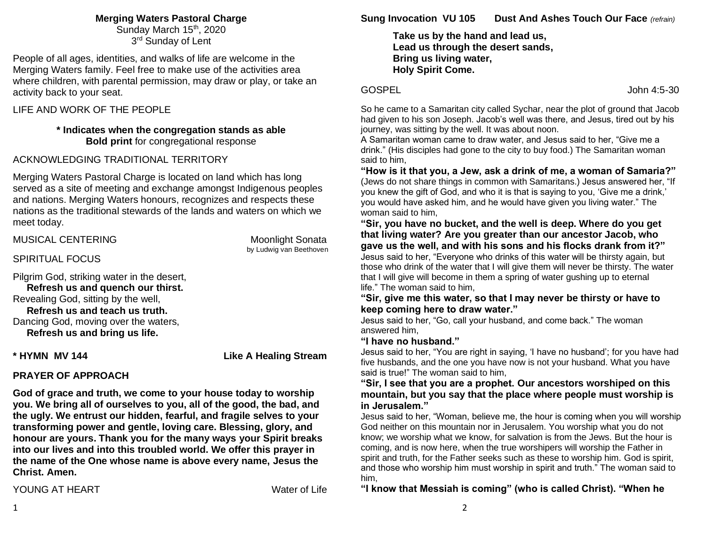#### **Merging Waters Pastoral Charge**

Sunday March 15<sup>th</sup>, 2020 3<sup>rd</sup> Sunday of Lent

People of all ages, identities, and walks of life are welcome in the Merging Waters family. Feel free to make use of the activities area where children, with parental permission, may draw or play, or take an activity back to your seat.

LIFE AND WORK OF THE PEOPLE

#### **\* Indicates when the congregation stands as able Bold print** for congregational response

# ACKNOWLEDGING TRADITIONAL TERRITORY

Merging Waters Pastoral Charge is located on land which has long served as a site of meeting and exchange amongst Indigenous peoples and nations. Merging Waters honours, recognizes and respects these nations as the traditional stewards of the lands and waters on which we meet today.

# MUSICAL CENTERING MUSICAL AND MOONLIGHT MOONLIGHT

by Ludwig van Beethoven

#### SPIRITUAL FOCUS

Pilgrim God, striking water in the desert, **Refresh us and quench our thirst.** Revealing God, sitting by the well,  **Refresh us and teach us truth.** Dancing God, moving over the waters,  **Refresh us and bring us life.**

**\* HYMN MV 144 Like A Healing Stream** 

# **PRAYER OF APPROACH**

**God of grace and truth, we come to your house today to worship you. We bring all of ourselves to you, all of the good, the bad, and the ugly. We entrust our hidden, fearful, and fragile selves to your transforming power and gentle, loving care. Blessing, glory, and honour are yours. Thank you for the many ways your Spirit breaks into our lives and into this troubled world. We offer this prayer in the name of the One whose name is above every name, Jesus the Christ. Amen.**

**Sung Invocation VU 105 Dust And Ashes Touch Our Face** *(refrain)*

**Take us by the hand and lead us, Lead us through the desert sands, Bring us living water, Holy Spirit Come.**

#### GOSPEL John 4:5-30

So he came to a Samaritan city called Sychar, near the plot of ground that Jacob had given to his son Joseph. Jacob's well was there, and Jesus, tired out by his journey, was sitting by the well. It was about noon.

A Samaritan woman came to draw water, and Jesus said to her, "Give me a drink." (His disciples had gone to the city to buy food.) The Samaritan woman said to him,

**"How is it that you, a Jew, ask a drink of me, a woman of Samaria?"**  (Jews do not share things in common with Samaritans.) Jesus answered her, "If you knew the gift of God, and who it is that is saying to you, 'Give me a drink,' you would have asked him, and he would have given you living water." The woman said to him,

**"Sir, you have no bucket, and the well is deep. Where do you get that living water? Are you greater than our ancestor Jacob, who gave us the well, and with his sons and his flocks drank from it?"** Jesus said to her, "Everyone who drinks of this water will be thirsty again, but

those who drink of the water that I will give them will never be thirsty. The water that I will give will become in them a spring of water gushing up to eternal life." The woman said to him,

**"Sir, give me this water, so that I may never be thirsty or have to keep coming here to draw water."**

Jesus said to her, "Go, call your husband, and come back." The woman answered him,

#### **"I have no husband."**

Jesus said to her, "You are right in saying, 'I have no husband'; for you have had five husbands, and the one you have now is not your husband. What you have said is true!" The woman said to him,

#### **"Sir, I see that you are a prophet. Our ancestors worshiped on this mountain, but you say that the place where people must worship is in Jerusalem."**

Jesus said to her, "Woman, believe me, the hour is coming when you will worship God neither on this mountain nor in Jerusalem. You worship what you do not know; we worship what we know, for salvation is from the Jews. But the hour is coming, and is now here, when the true worshipers will worship the Father in spirit and truth, for the Father seeks such as these to worship him. God is spirit, and those who worship him must worship in spirit and truth." The woman said to him,

**"I know that Messiah is coming" (who is called Christ). "When he**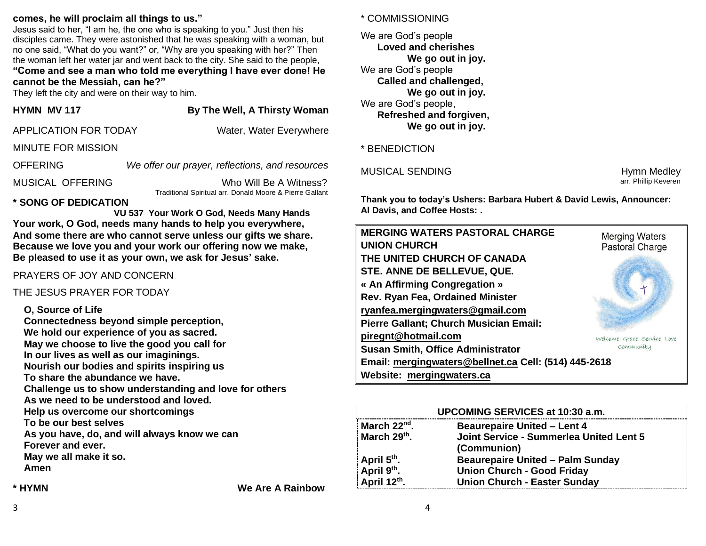#### **comes, he will proclaim all things to us."**

Jesus said to her, "I am he, the one who is speaking to you." Just then his disciples came. They were astonished that he was speaking with a woman, but no one said, "What do you want?" or, "Why are you speaking with her?" Then the woman left her water jar and went back to the city. She said to the people,

#### **"Come and see a man who told me everything I have ever done! He cannot be the Messiah, can he?"**

They left the city and were on their way to him.

| HYMN MV 117 |  |
|-------------|--|
|             |  |

# **By The Well, A Thirsty Woman**

| <b>APPLICATION FOR TODAY</b> | Water, Water Everywhere |
|------------------------------|-------------------------|
|                              |                         |

#### MINUTE FOR MISSION

OFFERING *We offer our prayer, reflections, and resources* MUSICAL OFFERING Who Will Be A Witness?

Traditional Spiritual arr. Donald Moore & Pierre Gallant

# **\* SONG OF DEDICATION**

 **VU 537 Your Work O God, Needs Many Hands Your work, O God, needs many hands to help you everywhere, And some there are who cannot serve unless our gifts we share. Because we love you and your work our offering now we make, Be pleased to use it as your own, we ask for Jesus' sake.**

### PRAYERS OF JOY AND CONCERN

THE JESUS PRAYER FOR TODAY

# **O, Source of Life**

**Connectedness beyond simple perception, We hold our experience of you as sacred. May we choose to live the good you call for In our lives as well as our imaginings. Nourish our bodies and spirits inspiring us To share the abundance we have. Challenge us to show understanding and love for others As we need to be understood and loved. Help us overcome our shortcomings To be our best selves As you have, do, and will always know we can Forever and ever. May we all make it so. Amen**

**\* HYMN We Are A Rainbow**

#### \* COMMISSIONING

We are God's people **Loved and cherishes We go out in joy.** We are God's people **Called and challenged, We go out in joy.** We are God's people, **Refreshed and forgiven, We go out in joy.**

#### \* BENEDICTION

#### MUSICAL SENDING **Hymn** Medley

arr. Phillip Keveren

**Thank you to today's Ushers: Barbara Hubert & David Lewis, Announcer: Al Davis, and Coffee Hosts: .** 

| <b>MERGING WATERS PASTORAL CHARGE</b><br><b>UNION CHURCH</b> | <b>Merging Waters</b>      |  |
|--------------------------------------------------------------|----------------------------|--|
|                                                              | <b>Pastoral Charge</b>     |  |
| THE UNITED CHURCH OF CANADA                                  |                            |  |
| STE. ANNE DE BELLEVUE, QUE.                                  |                            |  |
| « An Affirming Congregation »                                |                            |  |
| Rev. Ryan Fea, Ordained Minister                             |                            |  |
| ryanfea.mergingwaters@gmail.com                              |                            |  |
| Pierre Gallant; Church Musician Email:                       |                            |  |
| piregnt@hotmail.com                                          | Welcome Grace Service Love |  |
| <b>Susan Smith, Office Administrator</b>                     | Community                  |  |
| Email: mergingwaters@bellnet.ca Cell: (514) 445-2618         |                            |  |
| Website: mergingwaters.ca                                    |                            |  |

| UPCOMING SERVICES at 10:30 a.m.                                                |                                                |  |
|--------------------------------------------------------------------------------|------------------------------------------------|--|
| March 22 <sup>nd</sup> .                                                       | <b>Beaurepaire United - Lent 4</b>             |  |
| March 29th.                                                                    | <b>Joint Service - Summerlea United Lent 5</b> |  |
|                                                                                | (Communion)                                    |  |
|                                                                                | <b>Beaurepaire United - Palm Sunday</b>        |  |
| April 5 <sup>th</sup> .<br>April 9 <sup>th</sup> .<br>April 12 <sup>th</sup> . | <b>Union Church - Good Friday</b>              |  |
|                                                                                | <b>Union Church - Easter Sunday</b>            |  |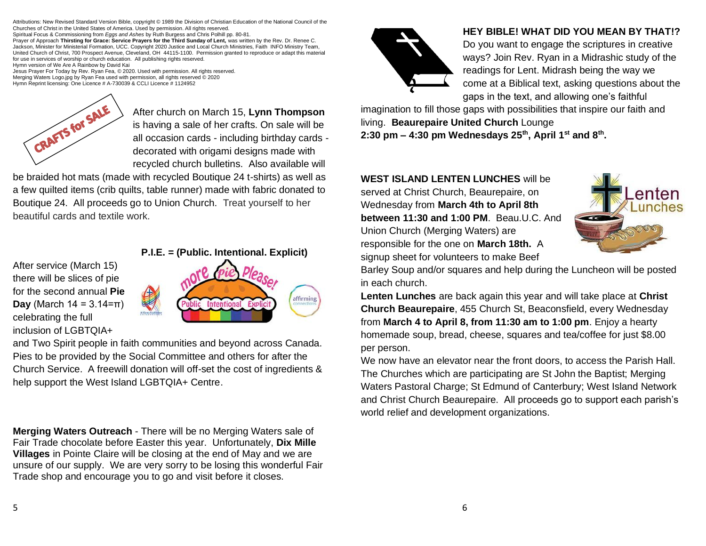Attributions: New Revised Standard Version Bible, copyright © 1989 the Division of Christian Education of the National Council of the Churches of Christ in the United States of America. Used by permission. All rights reserved.

Spiritual Focus & Commissioning from *Eggs and Ashes* by Ruth Burgess and Chris Polhill pp. 80-81.

Prayer of Approach **Thirsting for Grace: Service Prayers for the Third Sunday of Lent,** was written by the Rev. Dr. Renee C. Jackson, Minister for Ministerial Formation, UCC. Copyright 2020 Justice and Local Church Ministries, Faith INFO Ministry Team, United Church of Christ, 700 Prospect Avenue, Cleveland, OH 44115-1100. Permission granted to reproduce or adapt this material for use in services of worship or church education. All publishing rights reserved. Hymn version of We Are A Rainbow by David Kai

Jesus Prayer For Today by Rev. Ryan Fea, © 2020. Used with permission. All rights reserved. Merging Waters Logo.jpg by Ryan Fea used with permission, all rights reserved © 2020 Hymn Reprint licensing: One Licence # A-730039 & CCLI Licence # 1124952



After church [on March 15,](x-apple-data-detectors://2/) **Lynn Thompson** is having a sale of her crafts. On sale will be all occasion cards - including birthday cards decorated with origami designs made with recycled church bulletins. Also available will

be braided hot mats (made with recycled Boutique 24 t-shirts) as well as a few quilted items (crib quilts, table runner) made with fabric donated to Boutique 24. All proceeds go to Union Church. Treat yourself to her beautiful cards and textile work.

After service (March 15) there will be slices of pie for the second annual **Pie Day** (March  $14 = 3.14 = \pi$ ) celebrating the full inclusion of LGBTQIA+



and Two Spirit people in faith communities and beyond across Canada. Pies to be provided by the Social Committee and others for after the Church Service. A freewill donation will off-set the cost of ingredients & help support the West Island LGBTQIA+ Centre.

**Merging Waters Outreach** - There will be no Merging Waters sale of Fair Trade chocolate before Easter this year. Unfortunately, **Dix Mille Villages** in Pointe Claire will be closing at the end of May and we are unsure of our supply. We are very sorry to be losing this wonderful Fair Trade shop and encourage you to go and visit before it closes.



# **HEY BIBLE! WHAT DID YOU MEAN BY THAT!?**

Do you want to engage the scriptures in creative ways? Join Rev. Ryan in a Midrashic study of the readings for Lent. Midrash being the way we come at a Biblical text, asking questions about the gaps in the text, and allowing one's faithful

imagination to fill those gaps with possibilities that inspire our faith and living. **Beaurepaire United Church** Lounge **2:30 pm – 4:30 pm Wednesdays 25th , April 1st and 8th .**

# **WEST ISLAND LENTEN LUNCHES** will be served at Christ Church, Beaurepaire, on Wednesday from **March 4th to April 8th between 11:30 and 1:00 PM**. Beau.U.C. And Union Church (Merging Waters) are responsible for the one on **March 18th.** A signup sheet for volunteers to make Beef



Barley Soup and/or squares and help during the Luncheon will be posted in each church.

**Lenten Lunches** are back again this year and will take place at **Christ Church Beaurepaire**, 455 Church St, Beaconsfield, every Wednesday from **March 4 to April 8, from 11:30 am to 1:00 pm**. Enjoy a hearty homemade soup, bread, cheese, squares and tea/coffee for just \$8.00 per person.

We now have an elevator near the front doors, to access the Parish Hall. The Churches which are participating are St John the Baptist; Merging Waters Pastoral Charge; St Edmund of Canterbury; West Island Network and Christ Church Beaurepaire. All proceeds go to support each parish's world relief and development organizations.